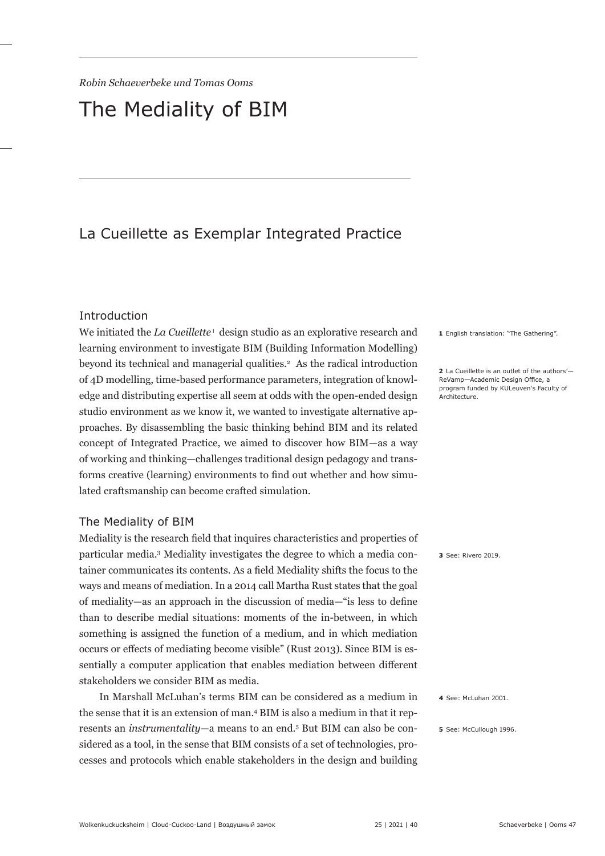# The Mediality of BIM

# La Cueillette as Exemplar Integrated Practice

#### Introduction

We initiated the *La Cueillette* ' design studio as an explorative research and learning environment to investigate BIM (Building Information Modelling) beyond its technical and managerial qualities.<sup>2</sup> As the radical introduction of 4D modelling, time-based performance parameters, integration of knowledge and distributing expertise all seem at odds with the open-ended design studio environment as we know it, we wanted to investigate alternative approaches. By disassembling the basic thinking behind BIM and its related concept of Integrated Practice, we aimed to discover how BIM—as a way of working and thinking—challenges traditional design pedagogy and transforms creative (learning) environments to find out whether and how simulated craftsmanship can become crafted simulation.

#### The Mediality of BIM

Mediality is the research field that inquires characteristics and properties of particular media.3 Mediality investigates the degree to which a media container communicates its contents. As a field Mediality shifts the focus to the ways and means of mediation. In a 2014 call Martha Rust states that the goal of mediality—as an approach in the discussion of media—"is less to define than to describe medial situations: moments of the in-between, in which something is assigned the function of a medium, and in which mediation occurs or effects of mediating become visible" (Rust 2013). Since BIM is essentially a computer application that enables mediation between different stakeholders we consider BIM as media.

In Marshall McLuhan's terms BIM can be considered as a medium in the sense that it is an extension of man.4 BIM is also a medium in that it represents an *instrumentality*—a means to an end.5 But BIM can also be considered as a tool, in the sense that BIM consists of a set of technologies, processes and protocols which enable stakeholders in the design and building **1** English translation: "The Gathering".

**2**  La Cueillette is an outlet of the authors'— ReVamp—Academic Design Office, a program funded by KULeuven's Faculty of Architecture.

**3** See: Rivero 2019.

**4** See: McLuhan 2001.

**5** See: McCullough 1996.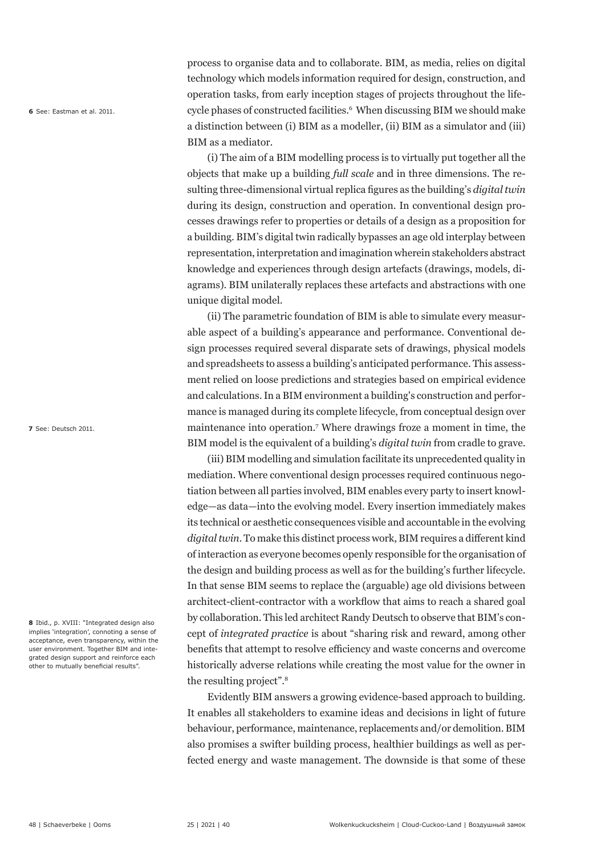**6** See: Eastman et al. 2011.

process to organise data and to collaborate. BIM, as media, relies on digital technology which models information required for design, construction, and operation tasks, from early inception stages of projects throughout the lifecycle phases of constructed facilities.<sup>6</sup> When discussing BIM we should make a distinction between (i) BIM as a modeller, (ii) BIM as a simulator and (iii) BIM as a mediator.

(i) The aim of a BIM modelling process is to virtually put together all the objects that make up a building *full scale* and in three dimensions. The resulting three-dimensional virtual replica figures as the building's *digital twin* during its design, construction and operation. In conventional design processes drawings refer to properties or details of a design as a proposition for a building. BIM's digital twin radically bypasses an age old interplay between representation, interpretation and imagination wherein stakeholders abstract knowledge and experiences through design artefacts (drawings, models, diagrams). BIM unilaterally replaces these artefacts and abstractions with one unique digital model.

(ii) The parametric foundation of BIM is able to simulate every measurable aspect of a building's appearance and performance. Conventional design processes required several disparate sets of drawings, physical models and spreadsheets to assess a building's anticipated performance. This assessment relied on loose predictions and strategies based on empirical evidence and calculations. In a BIM environment a building's construction and performance is managed during its complete lifecycle, from conceptual design over maintenance into operation.7 Where drawings froze a moment in time, the BIM model is the equivalent of a building's *digital twin* from cradle to grave.

(iii) BIM modelling and simulation facilitate its unprecedented quality in mediation. Where conventional design processes required continuous negotiation between all parties involved, BIM enables every party to insert knowledge—as data—into the evolving model. Every insertion immediately makes its technical or aesthetic consequences visible and accountable in the evolving *digital twin*. To make this distinct process work, BIM requires a different kind of interaction as everyone becomes openly responsible for the organisation of the design and building process as well as for the building's further lifecycle. In that sense BIM seems to replace the (arguable) age old divisions between architect-client-contractor with a workflow that aims to reach a shared goal by collaboration. This led architect Randy Deutsch to observe that BIM's concept of *integrated practice* is about "sharing risk and reward, among other benefits that attempt to resolve efficiency and waste concerns and overcome historically adverse relations while creating the most value for the owner in the resulting project".<sup>8</sup>

Evidently BIM answers a growing evidence-based approach to building. It enables all stakeholders to examine ideas and decisions in light of future behaviour, performance, maintenance, replacements and/or demolition. BIM also promises a swifter building process, healthier buildings as well as perfected energy and waste management. The downside is that some of these

**7** See: Deutsch 2011.

**8**  Ibid., p. XVIII: "Integrated design also implies 'integration', connoting a sense of acceptance, even transparency, within the user environment. Together BIM and integrated design support and reinforce each other to mutually beneficial results".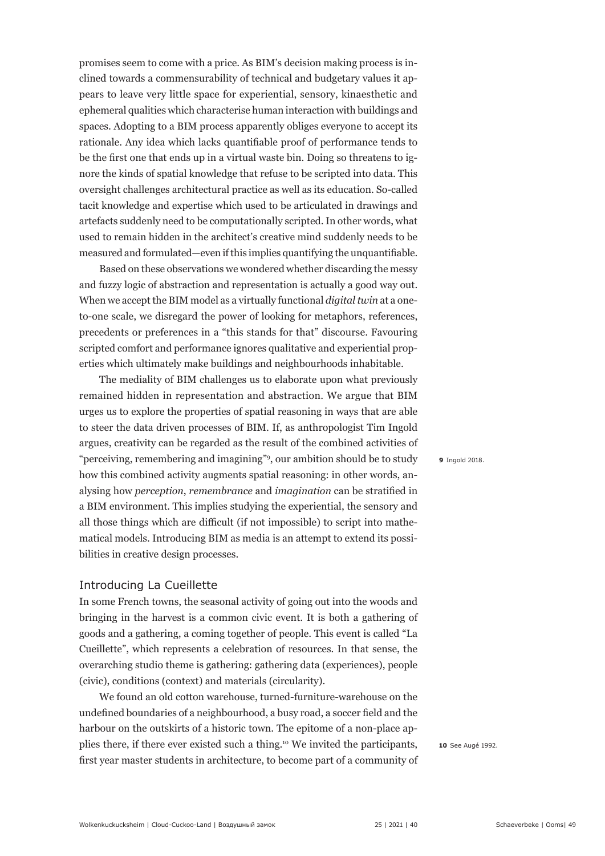promises seem to come with a price. As BIM's decision making process is inclined towards a commensurability of technical and budgetary values it appears to leave very little space for experiential, sensory, kinaesthetic and ephemeral qualities which characterise human interaction with buildings and spaces. Adopting to a BIM process apparently obliges everyone to accept its rationale. Any idea which lacks quantifiable proof of performance tends to be the first one that ends up in a virtual waste bin. Doing so threatens to ignore the kinds of spatial knowledge that refuse to be scripted into data. This oversight challenges architectural practice as well as its education. So-called tacit knowledge and expertise which used to be articulated in drawings and artefacts suddenly need to be computationally scripted. In other words, what used to remain hidden in the architect's creative mind suddenly needs to be measured and formulated—even if this implies quantifying the unquantifiable.

Based on these observations we wondered whether discarding the messy and fuzzy logic of abstraction and representation is actually a good way out. When we accept the BIM model as a virtually functional *digital twin* at a oneto-one scale, we disregard the power of looking for metaphors, references, precedents or preferences in a "this stands for that" discourse. Favouring scripted comfort and performance ignores qualitative and experiential properties which ultimately make buildings and neighbourhoods inhabitable.

The mediality of BIM challenges us to elaborate upon what previously remained hidden in representation and abstraction. We argue that BIM urges us to explore the properties of spatial reasoning in ways that are able to steer the data driven processes of BIM. If, as anthropologist Tim Ingold argues, creativity can be regarded as the result of the combined activities of "perceiving, remembering and imagining"<sup>9</sup> , our ambition should be to study how this combined activity augments spatial reasoning: in other words, analysing how *perception*, *remembrance* and *imagination* can be stratified in a BIM environment. This implies studying the experiential, the sensory and all those things which are difficult (if not impossible) to script into mathematical models. Introducing BIM as media is an attempt to extend its possibilities in creative design processes.

#### Introducing La Cueillette

In some French towns, the seasonal activity of going out into the woods and bringing in the harvest is a common civic event. It is both a gathering of goods and a gathering, a coming together of people. This event is called "La Cueillette", which represents a celebration of resources. In that sense, the overarching studio theme is gathering: gathering data (experiences), people (civic), conditions (context) and materials (circularity).

We found an old cotton warehouse, turned-furniture-warehouse on the undefined boundaries of a neighbourhood, a busy road, a soccer field and the harbour on the outskirts of a historic town. The epitome of a non-place applies there, if there ever existed such a thing.10 We invited the participants, first year master students in architecture, to become part of a community of **9**  Ingold 2018.

**10** See Augé 1992.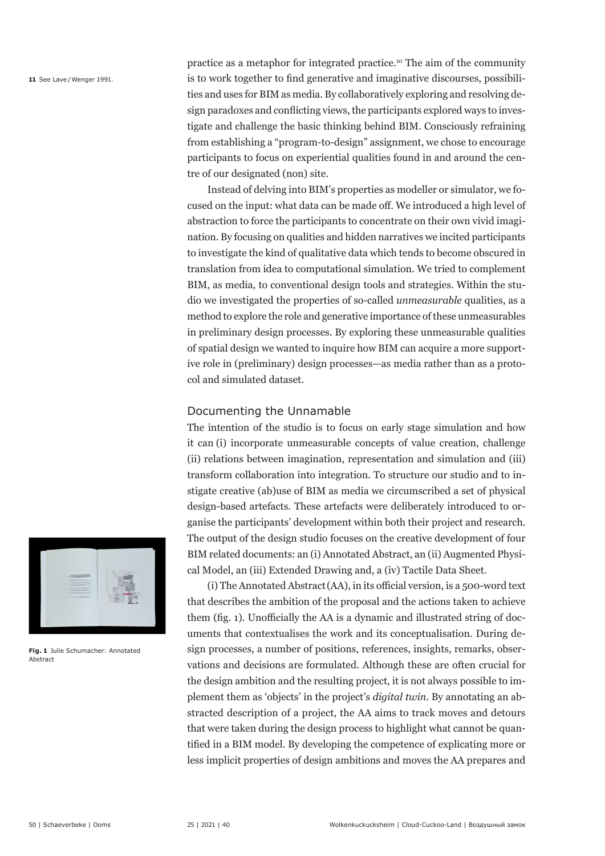**11** See Lave / Wenger 1991.

practice as a metaphor for integrated practice.10 The aim of the community is to work together to find generative and imaginative discourses, possibilities and uses for BIM as media. By collaboratively exploring and resolving design paradoxes and conflicting views, the participants explored ways to investigate and challenge the basic thinking behind BIM. Consciously refraining from establishing a "program-to-design" assignment, we chose to encourage participants to focus on experiential qualities found in and around the centre of our designated (non) site.

Instead of delving into BIM's properties as modeller or simulator, we focused on the input: what data can be made off. We introduced a high level of abstraction to force the participants to concentrate on their own vivid imagination. By focusing on qualities and hidden narratives we incited participants to investigate the kind of qualitative data which tends to become obscured in translation from idea to computational simulation. We tried to complement BIM, as media, to conventional design tools and strategies. Within the studio we investigated the properties of so-called *unmeasurable* qualities, as a method to explore the role and generative importance of these unmeasurables in preliminary design processes. By exploring these unmeasurable qualities of spatial design we wanted to inquire how BIM can acquire a more supportive role in (preliminary) design processes—as media rather than as a protocol and simulated dataset.

### Documenting the Unnamable

The intention of the studio is to focus on early stage simulation and how it can (i) incorporate unmeasurable concepts of value creation, challenge (ii) relations between imagination, representation and simulation and (iii) transform collaboration into integration. To structure our studio and to instigate creative (ab)use of BIM as media we circumscribed a set of physical design-based artefacts. These artefacts were deliberately introduced to organise the participants' development within both their project and research. The output of the design studio focuses on the creative development of four BIM related documents: an (i) Annotated Abstract, an (ii) Augmented Physical Model, an (iii) Extended Drawing and, a (iv) Tactile Data Sheet.

(i) The Annotated Abstract(AA), in its official version, is a 500-word text that describes the ambition of the proposal and the actions taken to achieve them (fig. 1). Unofficially the AA is a dynamic and illustrated string of documents that contextualises the work and its conceptualisation. During design processes, a number of positions, references, insights, remarks, observations and decisions are formulated. Although these are often crucial for the design ambition and the resulting project, it is not always possible to implement them as 'objects' in the project's *digital twin*. By annotating an abstracted description of a project, the AA aims to track moves and detours that were taken during the design process to highlight what cannot be quantified in a BIM model. By developing the competence of explicating more or less implicit properties of design ambitions and moves the AA prepares and



**Fig. 1**  Julie Schumacher: Annotated Abstract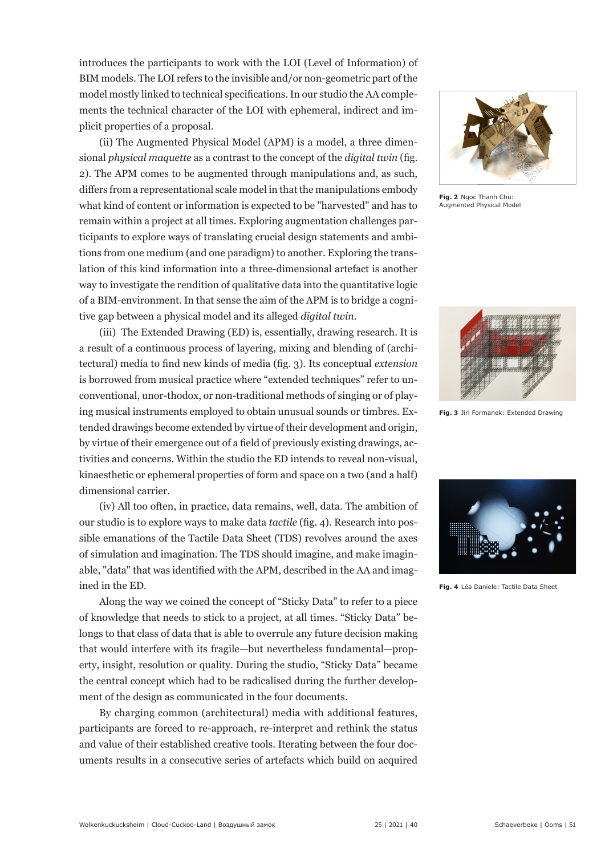introduces the participants to work with the LOI (Level of Information) of BIM models. The LOI refers to the invisible and/or non-geometric part of the model mostly linked to technical specifications. In our studio the AA complements the technical character of the LOI with ephemeral, indirect and implicit properties of a proposal.

(ii) The Augmented Physical Model (APM) is a model, a three dimensional *physical maquette* as a contrast to the concept of the *digital twin* (fig. 2). The APM comes to be augmented through manipulations and, as such, differs from a representational scale model in that the manipulations embody what kind of content or information is expected to be "harvested" and has to remain within a project at all times. Exploring augmentation challenges participants to explore ways of translating crucial design statements and ambitions from one medium (and one paradigm) to another. Exploring the translation of this kind information into a three-dimensional artefact is another way to investigate the rendition of qualitative data into the quantitative logic of a BIM-environment. In that sense the aim of the APM is to bridge a cognitive gap between a physical model and its alleged *digital twin*.

(iii) The Extended Drawing (ED) is, essentially, drawing research. It is a result of a continuous process of layering, mixing and blending of (architectural) media to find new kinds of media (fig. 3). Its conceptual *extension*  is borrowed from musical practice where "extended techniques" refer to unconventional, unor-thodox, or non-traditional methods of singing or of playing musical instruments employed to obtain unusual sounds or timbres. Extended drawings become extended by virtue of their development and origin, by virtue of their emergence out of a field of previously existing drawings, activities and concerns. Within the studio the ED intends to reveal non-visual, kinaesthetic or ephemeral properties of form and space on a two (and a half) dimensional carrier.

(iv) All too often, in practice, data remains, well, data. The ambition of our studio is to explore ways to make data *tactile* (fig. 4). Research into possible emanations of the Tactile Data Sheet (TDS) revolves around the axes of simulation and imagination. The TDS should imagine, and make imaginable, "data" that was identified with the APM, described in the AA and imagined in the ED.

Along the way we coined the concept of "Sticky Data" to refer to a piece of knowledge that needs to stick to a project, at all times. "Sticky Data" belongs to that class of data that is able to overrule any future decision making that would interfere with its fragile—but nevertheless fundamental—property, insight, resolution or quality. During the studio, "Sticky Data" became the central concept which had to be radicalised during the further development of the design as communicated in the four documents.

By charging common (architectural) media with additional features, participants are forced to re-approach, re-interpret and rethink the status and value of their established creative tools. Iterating between the four documents results in a consecutive series of artefacts which build on acquired



**Fig. 2**  Ngoc Thanh Chu: Augmented Physical Model



**Fig. 3**  Jiri Formanek: Extended Drawing



**Fig. 4**  Léa Daniele: Tactile Data Sheet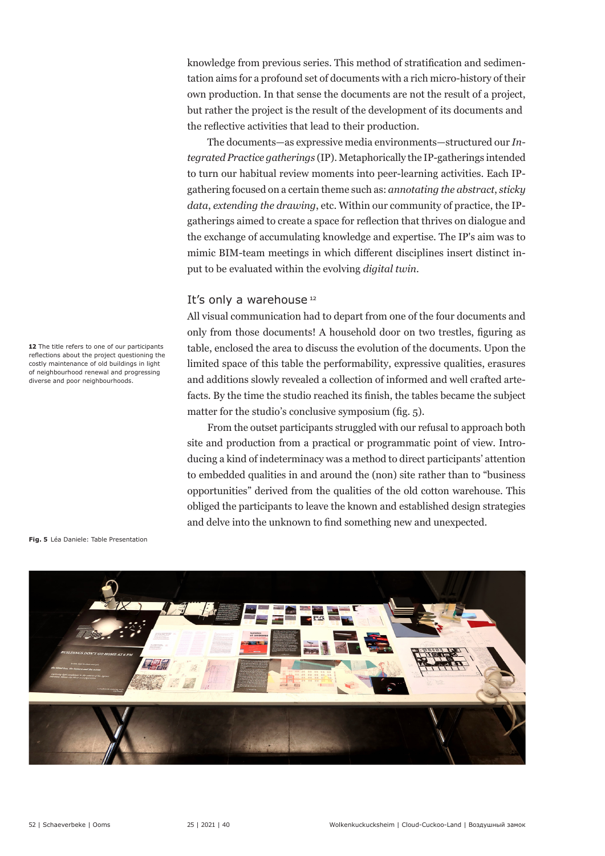knowledge from previous series. This method of stratification and sedimentation aims for a profound set of documents with a rich micro-history of their own production. In that sense the documents are not the result of a project, but rather the project is the result of the development of its documents and the reflective activities that lead to their production.

The documents—as expressive media environments—structured our *Integrated Practice gatherings* (IP). Metaphorically the IP-gatherings intended to turn our habitual review moments into peer-learning activities. Each IPgathering focused on a certain theme such as: *annotating the abstract*, *sticky data*, *extending the drawing*, etc. Within our community of practice, the IPgatherings aimed to create a space for reflection that thrives on dialogue and the exchange of accumulating knowledge and expertise. The IP's aim was to mimic BIM-team meetings in which different disciplines insert distinct input to be evaluated within the evolving *digital twin*.

#### It's only a warehouse<sup>12</sup>

All visual communication had to depart from one of the four documents and only from those documents! A household door on two trestles, figuring as table, enclosed the area to discuss the evolution of the documents. Upon the limited space of this table the performability, expressive qualities, erasures and additions slowly revealed a collection of informed and well crafted artefacts. By the time the studio reached its finish, the tables became the subject matter for the studio's conclusive symposium (fig. 5).

From the outset participants struggled with our refusal to approach both site and production from a practical or programmatic point of view. Introducing a kind of indeterminacy was a method to direct participants' attention to embedded qualities in and around the (non) site rather than to "business opportunities" derived from the qualities of the old cotton warehouse. This obliged the participants to leave the known and established design strategies and delve into the unknown to find something new and unexpected.

**Fig. 5**  Léa Daniele: Table Presentation



12 The title refers to one of our participants reflections about the project questioning the costly maintenance of old buildings in light of neighbourhood renewal and progressing diverse and poor neighbourhoods.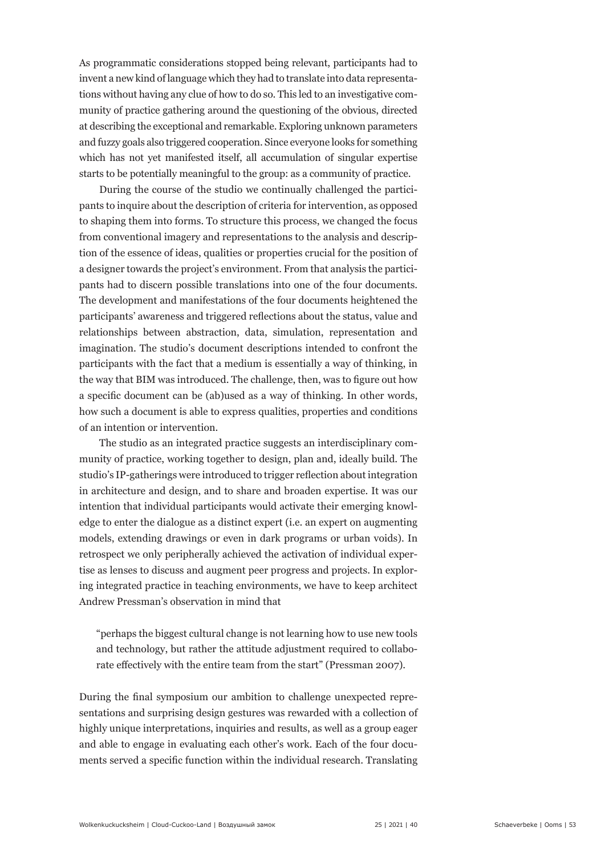As programmatic considerations stopped being relevant, participants had to invent a new kind of language which they had to translate into data representations without having any clue of how to do so. This led to an investigative community of practice gathering around the questioning of the obvious, directed at describing the exceptional and remarkable. Exploring unknown parameters and fuzzy goals also triggered cooperation. Since everyone looks for something which has not yet manifested itself, all accumulation of singular expertise starts to be potentially meaningful to the group: as a community of practice.

During the course of the studio we continually challenged the participants to inquire about the description of criteria for intervention, as opposed to shaping them into forms. To structure this process, we changed the focus from conventional imagery and representations to the analysis and description of the essence of ideas, qualities or properties crucial for the position of a designer towards the project's environment. From that analysis the participants had to discern possible translations into one of the four documents. The development and manifestations of the four documents heightened the participants' awareness and triggered reflections about the status, value and relationships between abstraction, data, simulation, representation and imagination. The studio's document descriptions intended to confront the participants with the fact that a medium is essentially a way of thinking, in the way that BIM was introduced. The challenge, then, was to figure out how a specific document can be (ab)used as a way of thinking. In other words, how such a document is able to express qualities, properties and conditions of an intention or intervention.

The studio as an integrated practice suggests an interdisciplinary community of practice, working together to design, plan and, ideally build. The studio's IP-gatherings were introduced to trigger reflection about integration in architecture and design, and to share and broaden expertise. It was our intention that individual participants would activate their emerging knowledge to enter the dialogue as a distinct expert (i.e. an expert on augmenting models, extending drawings or even in dark programs or urban voids). In retrospect we only peripherally achieved the activation of individual expertise as lenses to discuss and augment peer progress and projects. In exploring integrated practice in teaching environments, we have to keep architect Andrew Pressman's observation in mind that

 "perhaps the biggest cultural change is not learning how to use new tools and technology, but rather the attitude adjustment required to collaborate effectively with the entire team from the start" (Pressman 2007).

During the final symposium our ambition to challenge unexpected representations and surprising design gestures was rewarded with a collection of highly unique interpretations, inquiries and results, as well as a group eager and able to engage in evaluating each other's work. Each of the four documents served a specific function within the individual research. Translating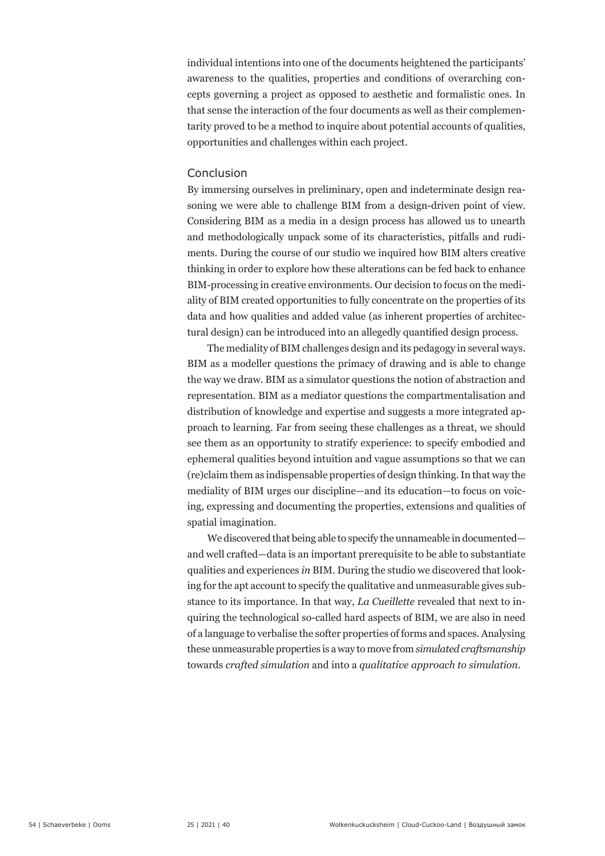individual intentions into one of the documents heightened the participants' awareness to the qualities, properties and conditions of overarching concepts governing a project as opposed to aesthetic and formalistic ones. In that sense the interaction of the four documents as well as their complementarity proved to be a method to inquire about potential accounts of qualities, opportunities and challenges within each project.

#### Conclusion

By immersing ourselves in preliminary, open and indeterminate design reasoning we were able to challenge BIM from a design-driven point of view. Considering BIM as a media in a design process has allowed us to unearth and methodologically unpack some of its characteristics, pitfalls and rudiments. During the course of our studio we inquired how BIM alters creative thinking in order to explore how these alterations can be fed back to enhance BIM-processing in creative environments. Our decision to focus on the mediality of BIM created opportunities to fully concentrate on the properties of its data and how qualities and added value (as inherent properties of architectural design) can be introduced into an allegedly quantified design process.

The mediality of BIM challenges design and its pedagogy in several ways. BIM as a modeller questions the primacy of drawing and is able to change the way we draw. BIM as a simulator questions the notion of abstraction and representation. BIM as a mediator questions the compartmentalisation and distribution of knowledge and expertise and suggests a more integrated approach to learning. Far from seeing these challenges as a threat, we should see them as an opportunity to stratify experience: to specify embodied and ephemeral qualities beyond intuition and vague assumptions so that we can (re)claim them as indispensable properties of design thinking. In that way the mediality of BIM urges our discipline—and its education—to focus on voicing, expressing and documenting the properties, extensions and qualities of spatial imagination.

We discovered that being able to specify the unnameable in documented and well crafted—data is an important prerequisite to be able to substantiate qualities and experiences *in* BIM. During the studio we discovered that looking for the apt account to specify the qualitative and unmeasurable gives substance to its importance. In that way, *La Cueillette* revealed that next to inquiring the technological so-called hard aspects of BIM, we are also in need of a language to verbalise the softer properties of forms and spaces. Analysing these unmeasurable properties is a way to move from *simulated craftsmanship* towards *crafted simulation* and into a *qualitative approach to simulation*.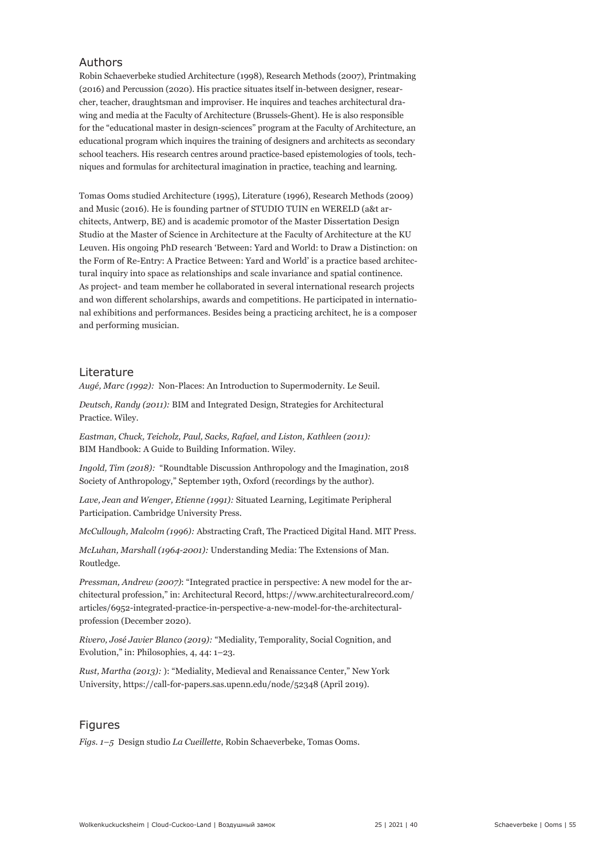#### Authors

Robin Schaeverbeke studied Architecture (1998), Research Methods (2007), Printmaking (2016) and Percussion (2020). His practice situates itself in-between designer, researcher, teacher, draughtsman and improviser. He inquires and teaches architectural drawing and media at the Faculty of Architecture (Brussels-Ghent). He is also responsible for the "educational master in design-sciences" program at the Faculty of Architecture, an educational program which inquires the training of designers and architects as secondary school teachers. His research centres around practice-based epistemologies of tools, techniques and formulas for architectural imagination in practice, teaching and learning.

Tomas Ooms studied Architecture (1995), Literature (1996), Research Methods (2009) and Music (2016). He is founding partner of STUDIO TUIN en WERELD (a&t architects, Antwerp, BE) and is academic promotor of the Master Dissertation Design Studio at the Master of Science in Architecture at the Faculty of Architecture at the KU Leuven. His ongoing PhD research 'Between: Yard and World: to Draw a Distinction: on the Form of Re-Entry: A Practice Between: Yard and World' is a practice based architectural inquiry into space as relationships and scale invariance and spatial continence. As project- and team member he collaborated in several international research projects and won different scholarships, awards and competitions. He participated in international exhibitions and performances. Besides being a practicing architect, he is a composer and performing musician.

#### Literature

*Augé, Marc (1992):* Non-Places: An Introduction to Supermodernity. Le Seuil.

*Deutsch, Randy (2011):* BIM and Integrated Design, Strategies for Architectural Practice. Wiley.

*Eastman, Chuck, Teicholz, Paul, Sacks, Rafael, and Liston, Kathleen (2011):*  BIM Handbook: A Guide to Building Information. Wiley.

*Ingold, Tim (2018):* "Roundtable Discussion Anthropology and the Imagination, 2018 Society of Anthropology," September 19th, Oxford (recordings by the author).

*Lave, Jean and Wenger, Etienne (1991):* Situated Learning, Legitimate Peripheral Participation. Cambridge University Press.

*McCullough, Malcolm (1996):* Abstracting Craft, The Practiced Digital Hand. MIT Press.

*McLuhan, Marshall (1964-2001):* Understanding Media: The Extensions of Man. Routledge.

*Pressman, Andrew (2007)*: "Integrated practice in perspective: A new model for the architectural profession," in: Architectural Record, https://www.architecturalrecord.com/ articles/6952-integrated-practice-in-perspective-a-new-model-for-the-architecturalprofession (December 2020).

*Rivero, José Javier Blanco (2019):* "Mediality, Temporality, Social Cognition, and Evolution," in: Philosophies, 4, 44: 1–23.

*Rust, Martha (2013):* ): "Mediality, Medieval and Renaissance Center," New York University, https://call-for-papers.sas.upenn.edu/node/52348 (April 2019).

#### Figures

*Figs. 1–5* Design studio *La Cueillette*, Robin Schaeverbeke, Tomas Ooms.